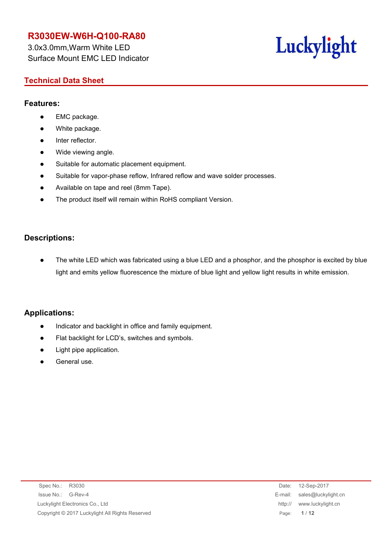3.0x3.0mm,Warm White LED Surface Mount EMC LED Indicator

# Luckylight

### **Technical Data Sheet**

### **Features:**

- EMC package.
- White package.
- Inter reflector.
- Wide viewing angle.
- Suitable for automatic placement equipment.
- Suitable for vapor-phase reflow, Infrared reflow and wave solder processes.
- Available on tape and reel (8mm Tape).
- The product itself will remain within RoHS compliant Version.

### **Descriptions:**

 The white LED which was fabricated using a blue LED and a phosphor, and the phosphor is excited by blue light and emits yellow fluorescence the mixture of blue light and yellow light results in white emission.

### **Applications:**

- Indicator and backlight in office and family equipment.
- Flat backlight for LCD's, switches and symbols.
- Light pipe application.
- General use.

| Spec No.: R3030                                 | Date:   | 12-Sep-2017                 |
|-------------------------------------------------|---------|-----------------------------|
| Issue No.:<br>G-Rev-4                           |         | E-mail: sales@luckylight.cn |
| Luckylight Electronics Co., Ltd                 | http:// | www.luckylight.cn           |
| Copyright © 2017 Luckylight All Rights Reserved |         | Page: 1/12                  |
|                                                 |         |                             |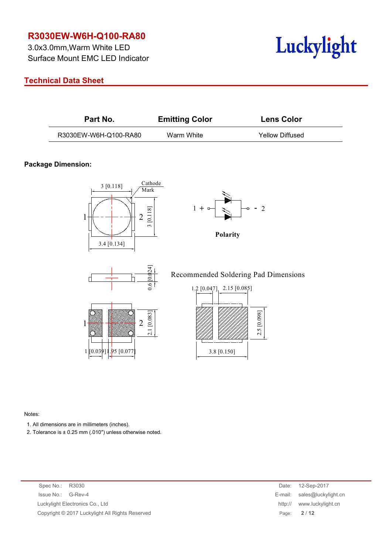3.0x3.0mm,Warm White LED Surface Mount EMC LED Indicator

### **Technical Data Sheet**



| Part No.              | <b>Emitting Color</b> | <b>Lens Color</b>      |
|-----------------------|-----------------------|------------------------|
| R3030EW-W6H-Q100-RA80 | Warm White            | <b>Yellow Diffused</b> |

#### **Package Dimension:**



Notes:

1. All dimensions are in millimeters (inches).

2. Tolerance is  $\pm$  0.25 mm (.010") unless otherwise noted.

Spec No.: R3030 Issue No.: G-Rev-4 Luckylight Electronics Co., Ltd. Copyright © 2017 Luckylight All Rights Reserved

| Date:   | 12-Sep-2017         |
|---------|---------------------|
| E-mail: | sales@luckylight.cn |
| http:// | www.luckylight.cn   |
| Page:   | 2/12                |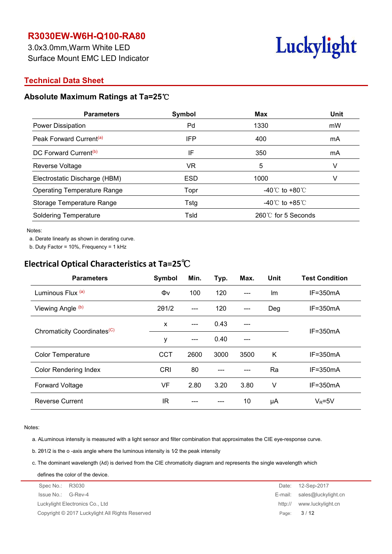3.0x3.0mm,Warm White LED Surface Mount EMC LED Indicator

# Luckylight

### **Technical Data Sheet**

### **Absolute Maximum Ratings at Ta=25**℃

| <b>Parameters</b>                   | Symbol     | <b>Max</b>                         | <b>Unit</b> |  |
|-------------------------------------|------------|------------------------------------|-------------|--|
| Power Dissipation                   | Pd         | 1330                               | mW          |  |
| Peak Forward Current <sup>(a)</sup> | <b>IFP</b> | 400                                | mA          |  |
| DC Forward Current <sup>(b)</sup>   | IF         | 350                                | mA          |  |
| Reverse Voltage                     | VR         | 5                                  |             |  |
| Electrostatic Discharge (HBM)       | <b>ESD</b> | 1000                               |             |  |
| <b>Operating Temperature Range</b>  | Topr       | -40 $\degree$ C to +80 $\degree$ C |             |  |
| Storage Temperature Range           | Tstg       | -40 $\degree$ C to +85 $\degree$ C |             |  |
| <b>Soldering Temperature</b>        | Tsld       | 260℃ for 5 Seconds                 |             |  |
|                                     |            |                                    |             |  |

Notes:

a. Derate linearly as shown in derating curve.

b. Duty Factor = 10%, Frequency = 1 kHz

# **Electrical Optical Characteristics at Ta=25**℃

| <b>Parameters</b>                       | Symbol       | Min.  | Typ. | Max.  | Unit | <b>Test Condition</b> |  |
|-----------------------------------------|--------------|-------|------|-------|------|-----------------------|--|
| Luminous Flux (a)                       | Φv           | 100   | 120  | $---$ | Im   | $IF = 350mA$          |  |
| Viewing Angle (b)                       | 201/2        | $---$ | 120  | $---$ | Deg  | $IF = 350mA$          |  |
| Chromaticity Coordinates <sup>(C)</sup> | $\mathsf{x}$ | $---$ | 0.43 | ---   |      | $IF = 350mA$          |  |
|                                         | y            | $---$ | 0.40 | ---   |      |                       |  |
| <b>Color Temperature</b>                | <b>CCT</b>   | 2600  | 3000 | 3500  | K    | $IF = 350mA$          |  |
| <b>Color Rendering Index</b>            | <b>CRI</b>   | 80    | ---  | ---   | Ra   | $IF = 350mA$          |  |
| <b>Forward Voltage</b>                  | VF           | 2.80  | 3.20 | 3.80  | V    | $IF = 350mA$          |  |
| <b>Reverse Current</b>                  | <b>IR</b>    |       |      | 10    | μA   | $V_R = 5V$            |  |

Notes:

a. ALuminous intensity is measured with a light sensor and filter combination that approximates the CIE eye-response curve.

b. 2θ1/2 is the o -axis angle where the luminous intensity is 1⁄2 the peak intensity

c. The dominant wavelength (λd) is derived from the CIE chromaticity diagram and represents the single wavelength which

Spec No.: R3030 Date: 12-Sep-2017 Issue No.: G-Rev-4 E-mail: sales@luckylight.cn Luckylight Electronics Co., Ltd **http:// www.luckylight.cn** Copyright © 2017 Luckylight All Rights Reserved Page: **3** / **12** defines the color of the device.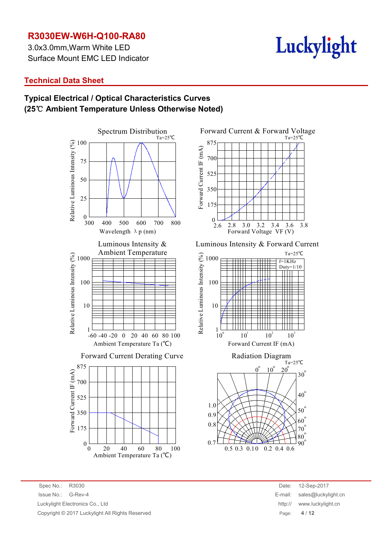3.0x3.0mm,Warm White LED Surface Mount EMC LED Indicator

# Luckylight

### **Technical Data Sheet**

### **Typical Electrical / Optical Characteristics Curves (25**℃ **Ambient Temperature Unless Otherwise Noted)**



Forward Current & Forward Voltage  $\begin{array}{c|c}\n\text{G} & 350 \\
\hline\n\text{E} & 175\n\end{array}$  $E = 700$ <br>  $E = 525$ <br>  $E = 525$ Forward Current IF (mA) Ta=25℃  $2.\overline{6}$   $2.\overline{8}$   $3.\overline{0}$   $3.\overline{2}$   $3.\overline{4}$   $3.\overline{6}$   $3.\overline{8}$ 175 350 525 700 875 Forward Voltage VF (V)

Luminous Intensity & Forward Current



0.3 0.10 0.2 0.4  $0.7$  LLL THE  $\blacktriangleright$ 0.5 0.1 0 0.2 0.4 0.6  $\frac{90}{90}$ 

Spec No.: R3030 Date: 12-Sep-2017 Issue No.: G-Rev-4 E-mail: sales@luckylight.cn Luckylight Electronics Co., Ltd Copyright © 2017 Luckylight All Rights Reserved

| Date:   | 12-Sep-2017         |
|---------|---------------------|
| E-mail: | sales@luckylight.cn |
| http:// | www.luckylight.cn   |
| Page:   | 4/12                |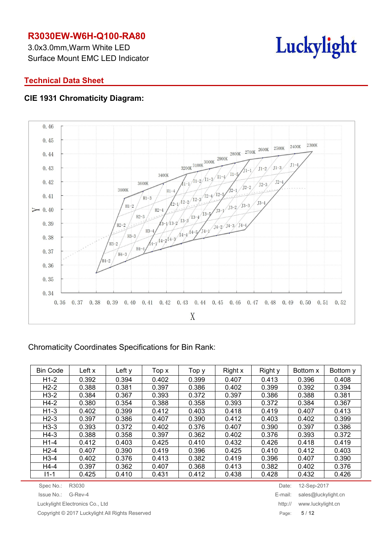3.0x3.0mm,Warm White LED Surface Mount EMC LED Indicator



### **Technical Data Sheet**

### **CIE 1931 Chromaticity Diagram:**



### Chromaticity Coordinates Specifications for Bin Rank:

| <b>Bin Code</b> | Left x | Left y | Top x | Top y | Right x | Right y | Bottom x | Bottom y |
|-----------------|--------|--------|-------|-------|---------|---------|----------|----------|
| $H1-2$          | 0.392  | 0.394  | 0.402 | 0.399 | 0.407   | 0.413   | 0.396    | 0.408    |
| $H2-2$          | 0.388  | 0.381  | 0.397 | 0.386 | 0.402   | 0.399   | 0.392    | 0.394    |
| $H3-2$          | 0.384  | 0.367  | 0.393 | 0.372 | 0.397   | 0.386   | 0.388    | 0.381    |
| H4-2            | 0.380  | 0.354  | 0.388 | 0.358 | 0.393   | 0.372   | 0.384    | 0.367    |
| $H1-3$          | 0.402  | 0.399  | 0.412 | 0.403 | 0.418   | 0.419   | 0.407    | 0.413    |
| $H2-3$          | 0.397  | 0.386  | 0.407 | 0.390 | 0.412   | 0.403   | 0.402    | 0.399    |
| $H3-3$          | 0.393  | 0.372  | 0.402 | 0.376 | 0.407   | 0.390   | 0.397    | 0.386    |
| $H4-3$          | 0.388  | 0.358  | 0.397 | 0.362 | 0.402   | 0.376   | 0.393    | 0.372    |
| $H1-4$          | 0.412  | 0.403  | 0.425 | 0.410 | 0.432   | 0.426   | 0.418    | 0.419    |
| $H2-4$          | 0.407  | 0.390  | 0.419 | 0.396 | 0.425   | 0.410   | 0.412    | 0.403    |
| $H3-4$          | 0.402  | 0.376  | 0.413 | 0.382 | 0.419   | 0.396   | 0.407    | 0.390    |
| H4-4            | 0.397  | 0.362  | 0.407 | 0.368 | 0.413   | 0.382   | 0.402    | 0.376    |
| $11 - 1$        | 0.425  | 0.410  | 0.431 | 0.412 | 0.438   | 0.428   | 0.432    | 0.426    |

Spec No.: R3030 Date: 12-Sep-2017

Copyright © 2017 Luckylight All Rights Reserved Page: **5** / **12**

Issue No.: G-Rev-4 E-mail: sales@luckylight.cn Luckylight Electronics Co., Ltd http:// www.luckylight.cn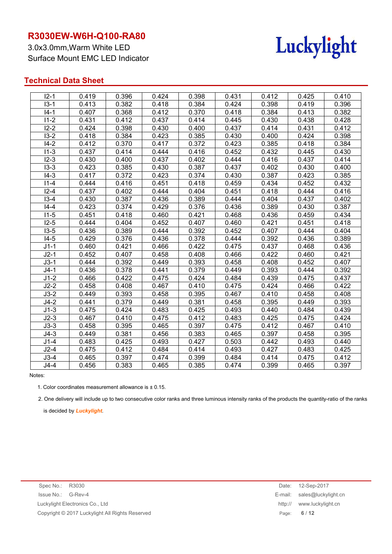3.0x3.0mm,Warm White LED Surface Mount EMC LED Indicator



### **Technical Data Sheet**

| $12 - 1$ | 0.419 | 0.396 | 0.424 | 0.398 | 0.431 | 0.412 | 0.425 | 0.410 |
|----------|-------|-------|-------|-------|-------|-------|-------|-------|
| $13 - 1$ | 0.413 | 0.382 | 0.418 | 0.384 | 0.424 | 0.398 | 0.419 | 0.396 |
| 14-1     | 0.407 | 0.368 | 0.412 | 0.370 | 0.418 | 0.384 | 0.413 | 0.382 |
| $11 - 2$ | 0.431 | 0.412 | 0.437 | 0.414 | 0.445 | 0.430 | 0.438 | 0.428 |
| $12 - 2$ | 0.424 | 0.398 | 0.430 | 0.400 | 0.437 | 0.414 | 0.431 | 0.412 |
| $13 - 2$ | 0.418 | 0.384 | 0.423 | 0.385 | 0.430 | 0.400 | 0.424 | 0.398 |
| $14 - 2$ | 0.412 | 0.370 | 0.417 | 0.372 | 0.423 | 0.385 | 0.418 | 0.384 |
| $11-3$   | 0.437 | 0.414 | 0.444 | 0.416 | 0.452 | 0.432 | 0.445 | 0.430 |
| $12 - 3$ | 0.430 | 0.400 | 0.437 | 0.402 | 0.444 | 0.416 | 0.437 | 0.414 |
| $13-3$   | 0.423 | 0.385 | 0.430 | 0.387 | 0.437 | 0.402 | 0.430 | 0.400 |
| $14 - 3$ | 0.417 | 0.372 | 0.423 | 0.374 | 0.430 | 0.387 | 0.423 | 0.385 |
| $11 - 4$ | 0.444 | 0.416 | 0.451 | 0.418 | 0.459 | 0.434 | 0.452 | 0.432 |
| $12 - 4$ | 0.437 | 0.402 | 0.444 | 0.404 | 0.451 | 0.418 | 0.444 | 0.416 |
| $13-4$   | 0.430 | 0.387 | 0.436 | 0.389 | 0.444 | 0.404 | 0.437 | 0.402 |
| $14 - 4$ | 0.423 | 0.374 | 0.429 | 0.376 | 0.436 | 0.389 | 0.430 | 0.387 |
| $11-5$   | 0.451 | 0.418 | 0.460 | 0.421 | 0.468 | 0.436 | 0.459 | 0.434 |
| $12-5$   | 0.444 | 0.404 | 0.452 | 0.407 | 0.460 | 0.421 | 0.451 | 0.418 |
| $13-5$   | 0.436 | 0.389 | 0.444 | 0.392 | 0.452 | 0.407 | 0.444 | 0.404 |
| $14-5$   | 0.429 | 0.376 | 0.436 | 0.378 | 0.444 | 0.392 | 0.436 | 0.389 |
| $J1-1$   | 0.460 | 0.421 | 0.466 | 0.422 | 0.475 | 0.437 | 0.468 | 0.436 |
| $J2-1$   | 0.452 | 0.407 | 0.458 | 0.408 | 0.466 | 0.422 | 0.460 | 0.421 |
| $J3-1$   | 0.444 | 0.392 | 0.449 | 0.393 | 0.458 | 0.408 | 0.452 | 0.407 |
| J4-1     | 0.436 | 0.378 | 0.441 | 0.379 | 0.449 | 0.393 | 0.444 | 0.392 |
| $J1-2$   | 0.466 | 0.422 | 0.475 | 0.424 | 0.484 | 0.439 | 0.475 | 0.437 |
| $J2-2$   | 0.458 | 0.408 | 0.467 | 0.410 | 0.475 | 0.424 | 0.466 | 0.422 |
| $J3-2$   | 0.449 | 0.393 | 0.458 | 0.395 | 0.467 | 0.410 | 0.458 | 0.408 |
| $J4-2$   | 0.441 | 0.379 | 0.449 | 0.381 | 0.458 | 0.395 | 0.449 | 0.393 |
| $J1-3$   | 0.475 | 0.424 | 0.483 | 0.425 | 0.493 | 0.440 | 0.484 | 0.439 |
| $J2-3$   | 0.467 | 0.410 | 0.475 | 0.412 | 0.483 | 0.425 | 0.475 | 0.424 |
| $J3-3$   | 0.458 | 0.395 | 0.465 | 0.397 | 0.475 | 0.412 | 0.467 | 0.410 |
| $J4-3$   | 0.449 | 0.381 | 0.456 | 0.383 | 0.465 | 0.397 | 0.458 | 0.395 |
| $J1-4$   | 0.483 | 0.425 | 0.493 | 0.427 | 0.503 | 0.442 | 0.493 | 0.440 |
| $J2-4$   | 0.475 | 0.412 | 0.484 | 0.414 | 0.493 | 0.427 | 0.483 | 0.425 |
| $J3-4$   | 0.465 | 0.397 | 0.474 | 0.399 | 0.484 | 0.414 | 0.475 | 0.412 |
| $J4-4$   | 0.456 | 0.383 | 0.465 | 0.385 | 0.474 | 0.399 | 0.465 | 0.397 |
|          |       |       |       |       |       |       |       |       |

#### Notes:

1. Color coordinates measurement allowance is  $\pm$  0.15.

2. One delivery will include up to two consecutive color ranks and three luminous intensity ranks of the products the quantity-ratio of the ranks

is decided by *Luckylight*.

| Date:   | 12-Sep-2017         |
|---------|---------------------|
| E-mail: | sales@luckylight.cn |
| http:// | www.luckylight.cn   |
| Page:   | 6/12                |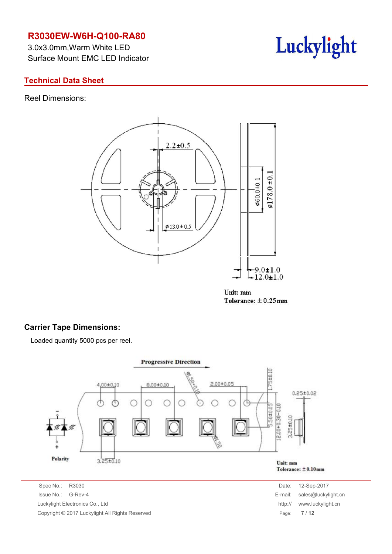3.0x3.0mm,Warm White LED Surface Mount EMC LED Indicator

# Luckylight

### **Technical Data Sheet**

Reel Dimensions:



Unit: mm Tolerance:  $\pm$  0.25mm

### **Carrier Tape Dimensions:**

Loaded quantity 5000 pcs per reel.



Spec No.: R3030 Date: 12-Sep-2017 Issue No.: G-Rev-4 E-mail: sales @luckylight.com is sales and sales and sales are sales and sales and sales are  $E$ -Luckylight Electronics Co., Ltd. Copyright © 2017 Luckylight All Rights Reserved

| Date:   | 12-Sep-2017         |
|---------|---------------------|
| -mail:  | sales@luckylight.cn |
| http:// | www.luckylight.cn   |
| Page:   | 7/12                |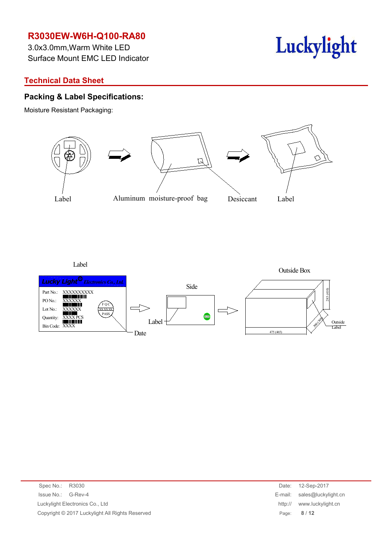3.0x3.0mm,Warm White LED Surface Mount EMC LED Indicator

# **Technical Data Sheet**

### **Packing & Label Specifications:**

Moisture Resistant Packaging:



Luckylight

Label



| Spec No.: R3030                                 | Date:   | 12-Sep-2017                 |
|-------------------------------------------------|---------|-----------------------------|
| Issue No.: G-Rev-4                              |         | E-mail: sales@luckylight.cn |
| Luckylight Electronics Co., Ltd                 | http:// | www.luckylight.cn           |
| Copyright © 2017 Luckylight All Rights Reserved |         | Page: 8/12                  |
|                                                 |         |                             |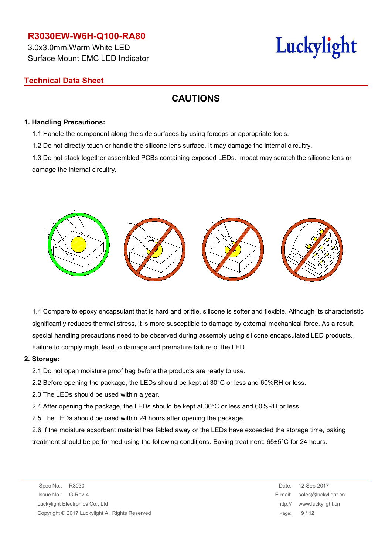3.0x3.0mm,Warm White LED Surface Mount EMC LED Indicator

# Luckylight

### **Technical Data Sheet**

# **CAUTIONS**

#### **1. Handling Precautions:**

1.1 Handle the component along the side surfaces by using forceps or appropriate tools.

1.2 Do not directly touch or handle the silicone lens surface. It may damage the internal circuitry.

1.3 Do not stack together assembled PCBs containing exposed LEDs. Impact may scratch the silicone lens or damage the internal circuitry.



1.4 Compare to epoxy encapsulant that is hard and brittle, silicone is softer and flexible. Although its characteristic significantly reduces thermal stress, it is more susceptible to damage by external mechanical force. As a result, special handling precautions need to be observed during assembly using silicone encapsulated LED products. Failure to comply might lead to damage and premature failure of the LED.

#### **2. Storage:**

2.1 Do not open moisture proof bag before the products are ready to use.

- 2.2 Before opening the package, the LEDs should be kept at 30°C or less and 60%RH or less.
- 2.3 The LEDs should be used within a year.
- 2.4 After opening the package, the LEDs should be kept at 30°C or less and 60%RH or less.
- 2.5 The LEDs should be used within 24 hours after opening the package.

2.6 If the moisture adsorbent material has fabled away or the LEDs have exceeded the storage time, baking treatment should be performed using the following conditions. Baking treatment: 65±5°C for 24 hours.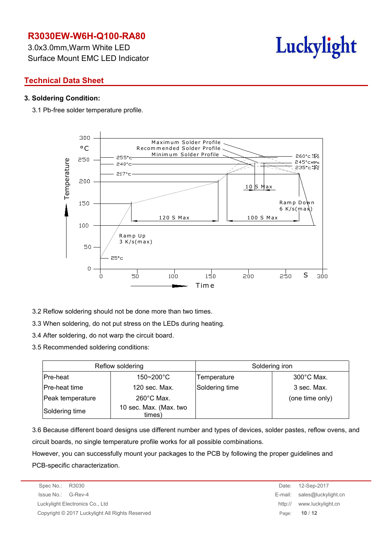3.0x3.0mm,Warm White LED Surface Mount EMC LED Indicator



### **Technical Data Sheet**

#### **3. Soldering Condition:**

3.1 Pb-free solder temperature profile.



- 3.2 Reflow soldering should not be done more than two times.
- 3.3 When soldering, do not put stress on the LEDs during heating.
- 3.4 After soldering, do not warp the circuit board.
- 3.5 Recommended soldering conditions:

|                  | Reflow soldering                 |                | Soldering iron       |  |  |
|------------------|----------------------------------|----------------|----------------------|--|--|
| Pre-heat         | $150 - 200^{\circ}$ C            | Temperature    | $300^{\circ}$ C Max. |  |  |
| Pre-heat time    | 120 sec. Max.                    | Soldering time | 3 sec. Max.          |  |  |
| Peak temperature | $260^{\circ}$ C Max.             |                | (one time only)      |  |  |
| Soldering time   | 10 sec. Max. (Max. two<br>times) |                |                      |  |  |

3.6 Because different board designs use different number and types of devices, solder pastes, reflow ovens, and circuit boards, no single temperature profile works for all possible combinations.

However, you can successfully mount your packages to the PCB by following the proper guidelines and PCB-specific characterization.

Spec No.: R3030 Date: 12-Sep-2017 Issue No.: G-Rev-4 E-mail: sales@luckylight.cn Luckylight Electronics Co., Ltd http:// www.luckylight.cn Copyright © 2017 Luckylight All Rights Reserved Page: **10** / **12**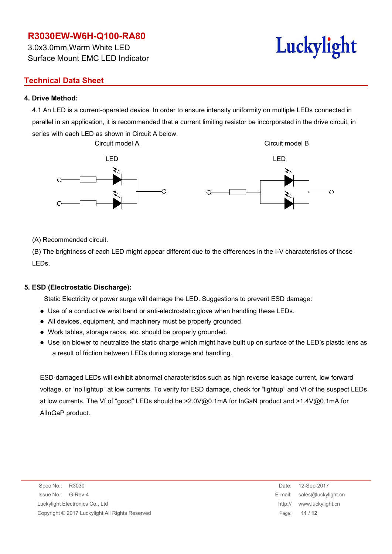3.0x3.0mm,Warm White LED Surface Mount EMC LED Indicator

### **Technical Data Sheet**

### **4. Drive Method:**

4.1 An LED is a current-operated device. In order to ensure intensity uniformity on multiple LEDs connected in parallel in an application, it is recommended that a current limiting resistor be incorporated in the drive circuit, in series with each LED as shown in Circuit A below.



(A) Recommended circuit.

(B) The brightness of each LED might appear different due to the differences in the I-V characteristics of those LEDs.

#### **5. ESD (Electrostatic Discharge):**

Static Electricity or power surge will damage the LED. Suggestions to prevent ESD damage:

- Use of a conductive wrist band or anti-electrostatic glove when handling these LEDs.
- All devices, equipment, and machinery must be properly grounded.
- Work tables, storage racks, etc. should be properly grounded.
- Use ion blower to neutralize the static charge which might have built up on surface of the LED's plastic lens as a result of friction between LEDs during storage and handling.

ESD-damaged LEDs will exhibit abnormal characteristics such as high reverse leakage current, low forward voltage, or "no lightup" at low currents. To verify for ESD damage, check for "lightup" and Vf of the suspect LEDs at low currents. The Vf of "good" LEDs should be >2.0V@0.1mA for InGaN product and >1.4V@0.1mA for AlInGaP product.